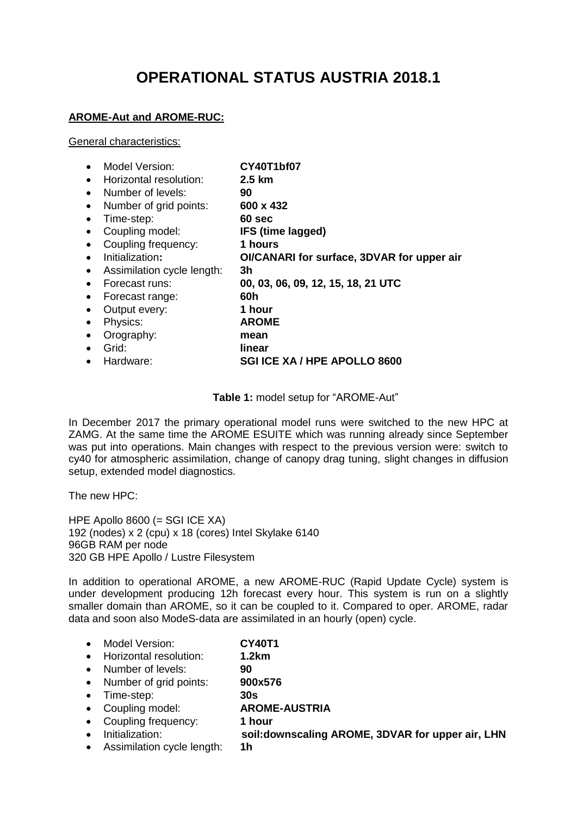# **OPERATIONAL STATUS AUSTRIA 2018.1**

## **AROME-Aut and AROME-RUC:**

#### General characteristics:

| Model Version:                          | <b>CY40T1bf07</b>                          |
|-----------------------------------------|--------------------------------------------|
| Horizontal resolution:<br>$\bullet$     | $2.5 \text{ km}$                           |
| Number of levels:<br>$\bullet$          | 90                                         |
| Number of grid points:<br>$\bullet$     | 600 x 432                                  |
| Time-step:<br>$\bullet$                 | 60 sec                                     |
| Coupling model:<br>$\bullet$            | IFS (time lagged)                          |
| Coupling frequency:<br>$\bullet$        | 1 hours                                    |
| Initialization:<br>$\bullet$            | OI/CANARI for surface, 3DVAR for upper air |
| Assimilation cycle length:<br>$\bullet$ | 3h                                         |
| Forecast runs:<br>$\bullet$             | 00, 03, 06, 09, 12, 15, 18, 21 UTC         |
| Forecast range:<br>$\bullet$            | 60h                                        |
| Output every:<br>$\bullet$              | 1 hour                                     |
| Physics:<br>$\bullet$                   | <b>AROME</b>                               |
| Orography:<br>$\bullet$                 | mean                                       |
| Grid:<br>$\bullet$                      | linear                                     |
| Hardware:<br>$\bullet$                  | <b>SGI ICE XA / HPE APOLLO 8600</b>        |

**Table 1:** model setup for "AROME-Aut"

In December 2017 the primary operational model runs were switched to the new HPC at ZAMG. At the same time the AROME ESUITE which was running already since September was put into operations. Main changes with respect to the previous version were: switch to cy40 for atmospheric assimilation, change of canopy drag tuning, slight changes in diffusion setup, extended model diagnostics.

The new HPC:

HPE Apollo 8600 (= SGI ICE XA) 192 (nodes) x 2 (cpu) x 18 (cores) Intel Skylake 6140 96GB RAM per node 320 GB HPE Apollo / Lustre Filesystem

In addition to operational AROME, a new AROME-RUC (Rapid Update Cycle) system is under development producing 12h forecast every hour. This system is run on a slightly smaller domain than AROME, so it can be coupled to it. Compared to oper. AROME, radar data and soon also ModeS-data are assimilated in an hourly (open) cycle.

- Model Version: **CY40T1**
- Horizontal resolution: **1.2km**
- Number of levels: **90**
- Number of grid points: **900x576**
- Time-step: **30s**
- Coupling model: **AROME-AUSTRIA**
- Coupling frequency: **1 hour**
- Initialization: **soil:downscaling AROME, 3DVAR for upper air, LHN**
- Assimilation cycle length: **1h**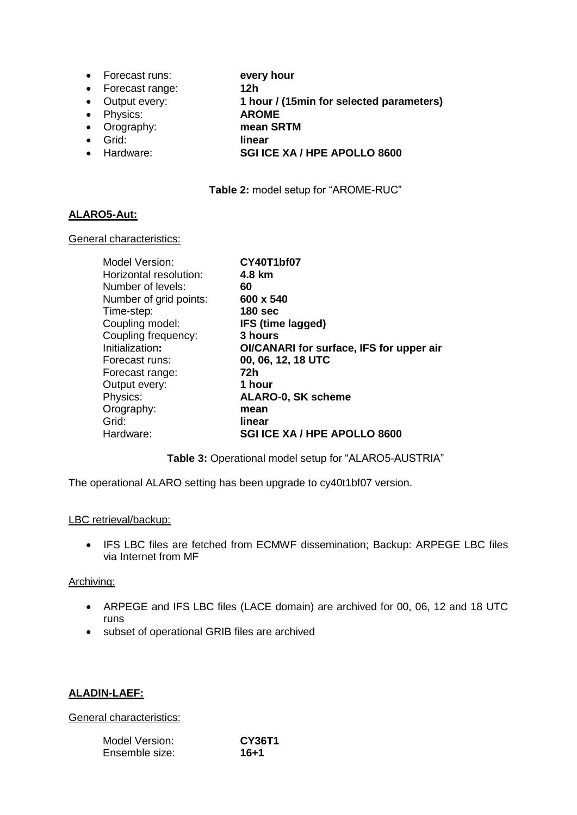- Forecast runs: **every hour**
- Forecast range: **12h**
- Output every: **1 hour / (15min for selected parameters)**
- Physics: **AROME**
- Orography: **mean SRTM**
- Grid: **linear**
- Hardware: **SGI ICE XA / HPE APOLLO 8600**

**Table 2:** model setup for "AROME-RUC"

## **ALARO5-Aut:**

#### General characteristics:

| Model Version:         | <b>CY40T1bf07</b>                        |
|------------------------|------------------------------------------|
| Horizontal resolution: | 4.8 km                                   |
| Number of levels:      | 60                                       |
| Number of grid points: | 600 x 540                                |
| Time-step:             | <b>180 sec</b>                           |
| Coupling model:        | IFS (time lagged)                        |
| Coupling frequency:    | 3 hours                                  |
| Initialization:        | OI/CANARI for surface, IFS for upper air |
| Forecast runs:         | 00, 06, 12, 18 UTC                       |
| Forecast range:        | 72h                                      |
| Output every:          | 1 hour                                   |
| Physics:               | <b>ALARO-0, SK scheme</b>                |
| Orography:             | mean                                     |
| Grid:                  | linear                                   |
| Hardware:              | <b>SGI ICE XA / HPE APOLLO 8600</b>      |
|                        |                                          |

## **Table 3:** Operational model setup for "ALARO5-AUSTRIA"

The operational ALARO setting has been upgrade to cy40t1bf07 version.

#### LBC retrieval/backup:

• IFS LBC files are fetched from ECMWF dissemination; Backup: ARPEGE LBC files via Internet from MF

## Archiving:

- ARPEGE and IFS LBC files (LACE domain) are archived for 00, 06, 12 and 18 UTC runs
- subset of operational GRIB files are archived

## **ALADIN-LAEF:**

#### General characteristics:

| Model Version: | CY36T1 |
|----------------|--------|
| Ensemble size: | 16+1   |